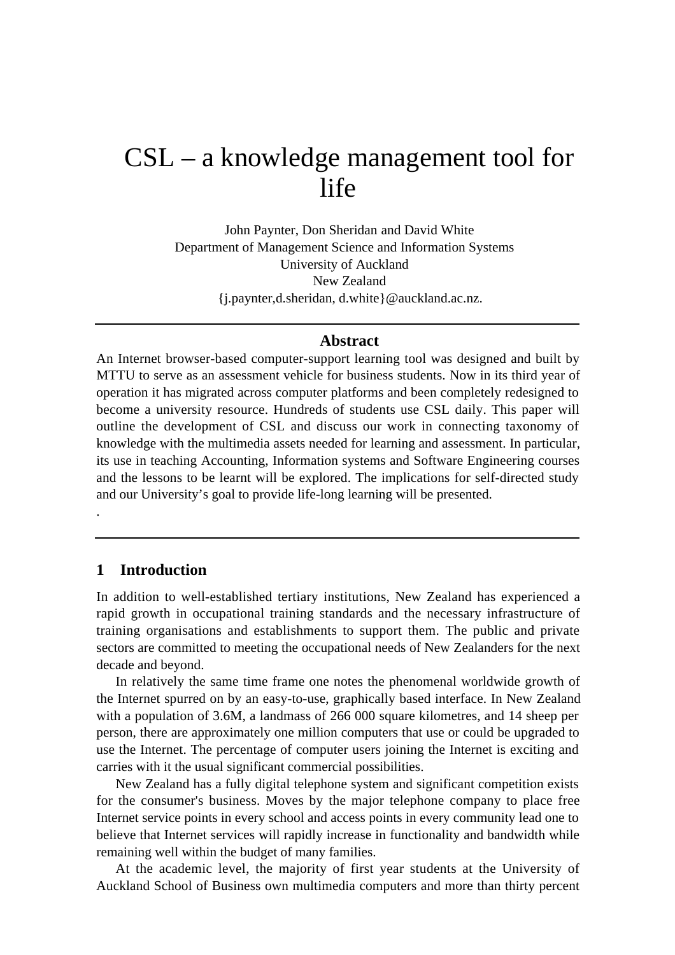# CSL – a knowledge management tool for life

John Paynter, Don Sheridan and David White Department of Management Science and Information Systems University of Auckland New Zealand {j.paynter,d.sheridan, d.white}@auckland.ac.nz.

### **Abstract**

An Internet browser-based computer-support learning tool was designed and built by MTTU to serve as an assessment vehicle for business students. Now in its third year of operation it has migrated across computer platforms and been completely redesigned to become a university resource. Hundreds of students use CSL daily. This paper will outline the development of CSL and discuss our work in connecting taxonomy of knowledge with the multimedia assets needed for learning and assessment. In particular, its use in teaching Accounting, Information systems and Software Engineering courses and the lessons to be learnt will be explored. The implications for self-directed study and our University's goal to provide life-long learning will be presented.

### **1 Introduction**

.

In addition to well-established tertiary institutions, New Zealand has experienced a rapid growth in occupational training standards and the necessary infrastructure of training organisations and establishments to support them. The public and private sectors are committed to meeting the occupational needs of New Zealanders for the next decade and beyond.

In relatively the same time frame one notes the phenomenal worldwide growth of the Internet spurred on by an easy-to-use, graphically based interface. In New Zealand with a population of 3.6M, a landmass of 266 000 square kilometres, and 14 sheep per person, there are approximately one million computers that use or could be upgraded to use the Internet. The percentage of computer users joining the Internet is exciting and carries with it the usual significant commercial possibilities.

New Zealand has a fully digital telephone system and significant competition exists for the consumer's business. Moves by the major telephone company to place free Internet service points in every school and access points in every community lead one to believe that Internet services will rapidly increase in functionality and bandwidth while remaining well within the budget of many families.

At the academic level, the majority of first year students at the University of Auckland School of Business own multimedia computers and more than thirty percent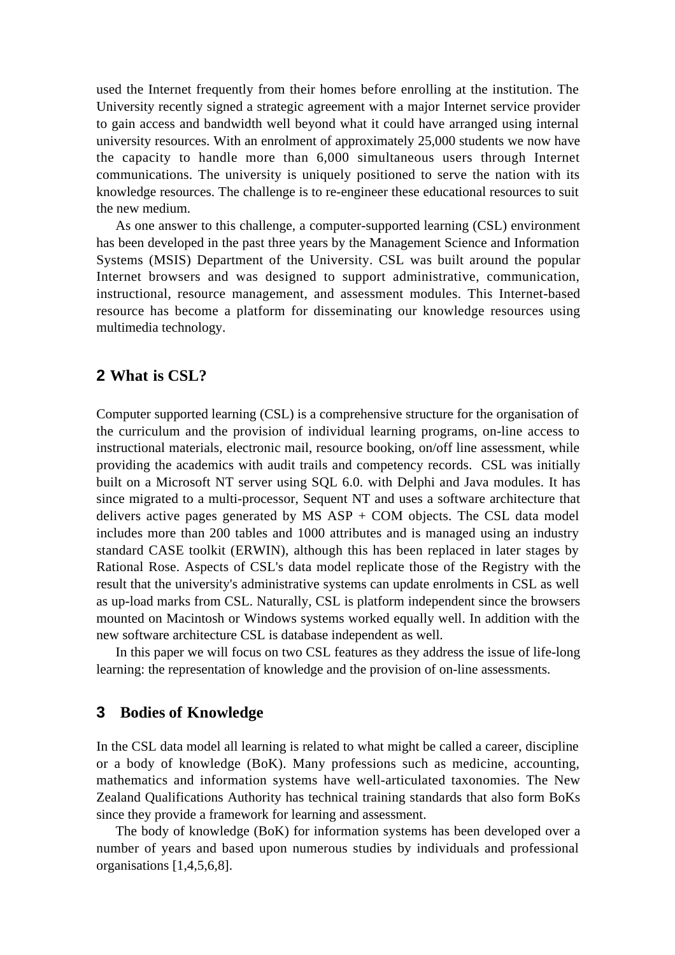used the Internet frequently from their homes before enrolling at the institution. The University recently signed a strategic agreement with a major Internet service provider to gain access and bandwidth well beyond what it could have arranged using internal university resources. With an enrolment of approximately 25,000 students we now have the capacity to handle more than 6,000 simultaneous users through Internet communications. The university is uniquely positioned to serve the nation with its knowledge resources. The challenge is to re-engineer these educational resources to suit the new medium.

As one answer to this challenge, a computer-supported learning (CSL) environment has been developed in the past three years by the Management Science and Information Systems (MSIS) Department of the University. CSL was built around the popular Internet browsers and was designed to support administrative, communication, instructional, resource management, and assessment modules. This Internet-based resource has become a platform for disseminating our knowledge resources using multimedia technology.

### **2 What is CSL?**

Computer supported learning (CSL) is a comprehensive structure for the organisation of the curriculum and the provision of individual learning programs, on-line access to instructional materials, electronic mail, resource booking, on/off line assessment, while providing the academics with audit trails and competency records. CSL was initially built on a Microsoft NT server using SQL 6.0. with Delphi and Java modules. It has since migrated to a multi-processor, Sequent NT and uses a software architecture that delivers active pages generated by  $MS$   $ASP$  +  $COM$  objects. The CSL data model includes more than 200 tables and 1000 attributes and is managed using an industry standard CASE toolkit (ERWIN), although this has been replaced in later stages by Rational Rose. Aspects of CSL's data model replicate those of the Registry with the result that the university's administrative systems can update enrolments in CSL as well as up-load marks from CSL. Naturally, CSL is platform independent since the browsers mounted on Macintosh or Windows systems worked equally well. In addition with the new software architecture CSL is database independent as well.

In this paper we will focus on two CSL features as they address the issue of life-long learning: the representation of knowledge and the provision of on-line assessments.

### **3 Bodies of Knowledge**

In the CSL data model all learning is related to what might be called a career, discipline or a body of knowledge (BoK). Many professions such as medicine, accounting, mathematics and information systems have well-articulated taxonomies. The New Zealand Qualifications Authority has technical training standards that also form BoKs since they provide a framework for learning and assessment.

The body of knowledge (BoK) for information systems has been developed over a number of years and based upon numerous studies by individuals and professional organisations [1,4,5,6,8].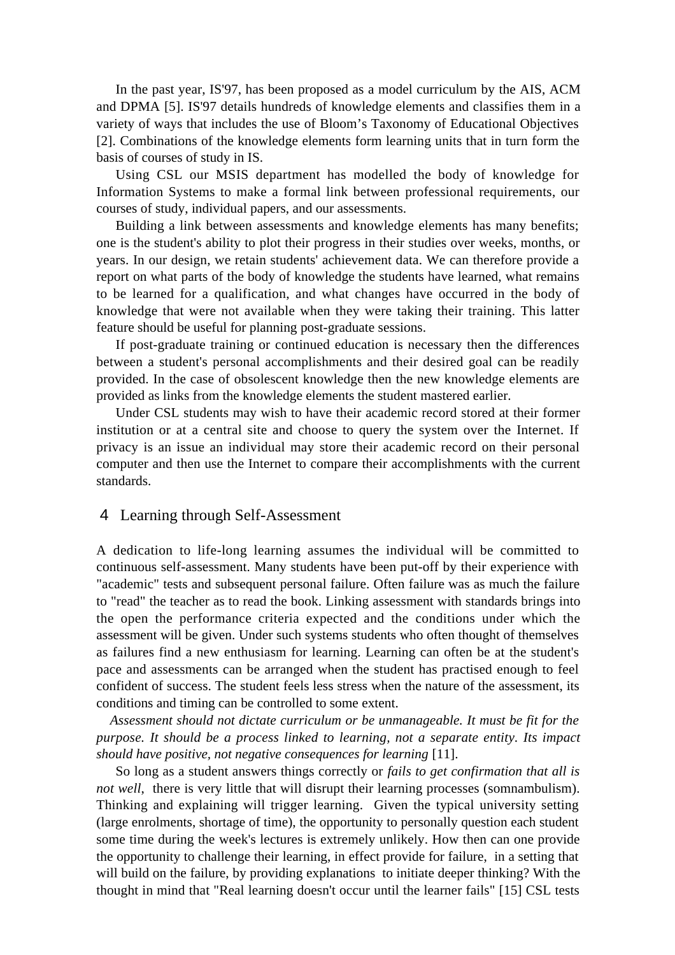In the past year, IS'97, has been proposed as a model curriculum by the AIS, ACM and DPMA [5]. IS'97 details hundreds of knowledge elements and classifies them in a variety of ways that includes the use of Bloom's Taxonomy of Educational Objectives [2]. Combinations of the knowledge elements form learning units that in turn form the basis of courses of study in IS.

Using CSL our MSIS department has modelled the body of knowledge for Information Systems to make a formal link between professional requirements, our courses of study, individual papers, and our assessments.

Building a link between assessments and knowledge elements has many benefits; one is the student's ability to plot their progress in their studies over weeks, months, or years. In our design, we retain students' achievement data. We can therefore provide a report on what parts of the body of knowledge the students have learned, what remains to be learned for a qualification, and what changes have occurred in the body of knowledge that were not available when they were taking their training. This latter feature should be useful for planning post-graduate sessions.

If post-graduate training or continued education is necessary then the differences between a student's personal accomplishments and their desired goal can be readily provided. In the case of obsolescent knowledge then the new knowledge elements are provided as links from the knowledge elements the student mastered earlier.

Under CSL students may wish to have their academic record stored at their former institution or at a central site and choose to query the system over the Internet. If privacy is an issue an individual may store their academic record on their personal computer and then use the Internet to compare their accomplishments with the current standards.

### 4 Learning through Self-Assessment

A dedication to life-long learning assumes the individual will be committed to continuous self-assessment. Many students have been put-off by their experience with "academic" tests and subsequent personal failure. Often failure was as much the failure to "read" the teacher as to read the book. Linking assessment with standards brings into the open the performance criteria expected and the conditions under which the assessment will be given. Under such systems students who often thought of themselves as failures find a new enthusiasm for learning. Learning can often be at the student's pace and assessments can be arranged when the student has practised enough to feel confident of success. The student feels less stress when the nature of the assessment, its conditions and timing can be controlled to some extent.

*Assessment should not dictate curriculum or be unmanageable. It must be fit for the purpose. It should be a process linked to learning, not a separate entity. Its impact should have positive, not negative consequences for learning* [11].

So long as a student answers things correctly or *fails to get confirmation that all is not well*, there is very little that will disrupt their learning processes (somnambulism). Thinking and explaining will trigger learning. Given the typical university setting (large enrolments, shortage of time), the opportunity to personally question each student some time during the week's lectures is extremely unlikely. How then can one provide the opportunity to challenge their learning, in effect provide for failure, in a setting that will build on the failure, by providing explanations to initiate deeper thinking? With the thought in mind that "Real learning doesn't occur until the learner fails" [15] CSL tests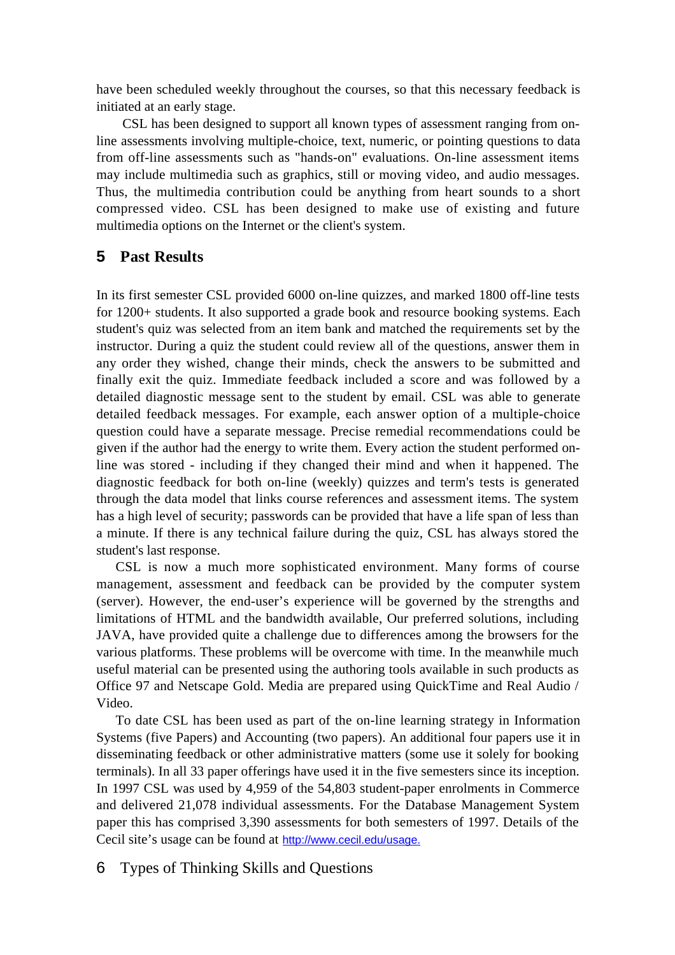have been scheduled weekly throughout the courses, so that this necessary feedback is initiated at an early stage.

 CSL has been designed to support all known types of assessment ranging from online assessments involving multiple-choice, text, numeric, or pointing questions to data from off-line assessments such as "hands-on" evaluations. On-line assessment items may include multimedia such as graphics, still or moving video, and audio messages. Thus, the multimedia contribution could be anything from heart sounds to a short compressed video. CSL has been designed to make use of existing and future multimedia options on the Internet or the client's system.

# **5 Past Results**

In its first semester CSL provided 6000 on-line quizzes, and marked 1800 off-line tests for 1200+ students. It also supported a grade book and resource booking systems. Each student's quiz was selected from an item bank and matched the requirements set by the instructor. During a quiz the student could review all of the questions, answer them in any order they wished, change their minds, check the answers to be submitted and finally exit the quiz. Immediate feedback included a score and was followed by a detailed diagnostic message sent to the student by email. CSL was able to generate detailed feedback messages. For example, each answer option of a multiple-choice question could have a separate message. Precise remedial recommendations could be given if the author had the energy to write them. Every action the student performed online was stored - including if they changed their mind and when it happened. The diagnostic feedback for both on-line (weekly) quizzes and term's tests is generated through the data model that links course references and assessment items. The system has a high level of security; passwords can be provided that have a life span of less than a minute. If there is any technical failure during the quiz, CSL has always stored the student's last response.

CSL is now a much more sophisticated environment. Many forms of course management, assessment and feedback can be provided by the computer system (server). However, the end-user's experience will be governed by the strengths and limitations of HTML and the bandwidth available, Our preferred solutions, including JAVA, have provided quite a challenge due to differences among the browsers for the various platforms. These problems will be overcome with time. In the meanwhile much useful material can be presented using the authoring tools available in such products as Office 97 and Netscape Gold. Media are prepared using QuickTime and Real Audio / Video.

To date CSL has been used as part of the on-line learning strategy in Information Systems (five Papers) and Accounting (two papers). An additional four papers use it in disseminating feedback or other administrative matters (some use it solely for booking terminals). In all 33 paper offerings have used it in the five semesters since its inception. In 1997 CSL was used by 4,959 of the 54,803 student-paper enrolments in Commerce and delivered 21,078 individual assessments. For the Database Management System paper this has comprised 3,390 assessments for both semesters of 1997. Details of the Cecil site's usage can be found at http://www.cecil.edu/usage.

### 6 Types of Thinking Skills and Questions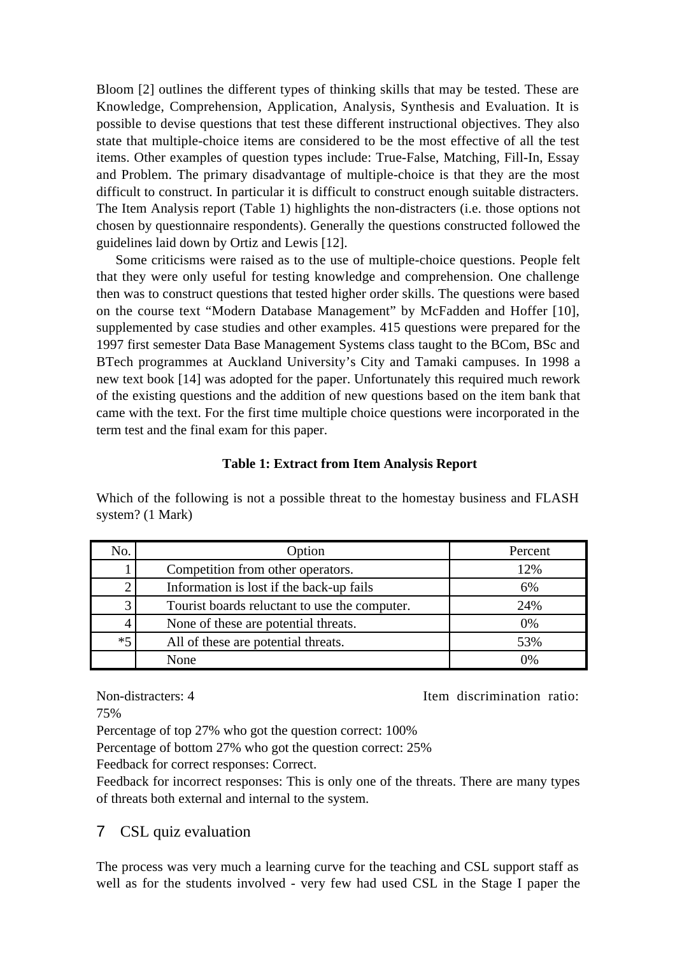Bloom [2] outlines the different types of thinking skills that may be tested. These are Knowledge, Comprehension, Application, Analysis, Synthesis and Evaluation. It is possible to devise questions that test these different instructional objectives. They also state that multiple-choice items are considered to be the most effective of all the test items. Other examples of question types include: True-False, Matching, Fill-In, Essay and Problem. The primary disadvantage of multiple-choice is that they are the most difficult to construct. In particular it is difficult to construct enough suitable distracters. The Item Analysis report (Table 1) highlights the non-distracters (i.e. those options not chosen by questionnaire respondents). Generally the questions constructed followed the guidelines laid down by Ortiz and Lewis [12].

Some criticisms were raised as to the use of multiple-choice questions. People felt that they were only useful for testing knowledge and comprehension. One challenge then was to construct questions that tested higher order skills. The questions were based on the course text "Modern Database Management" by McFadden and Hoffer [10], supplemented by case studies and other examples. 415 questions were prepared for the 1997 first semester Data Base Management Systems class taught to the BCom, BSc and BTech programmes at Auckland University's City and Tamaki campuses. In 1998 a new text book [14] was adopted for the paper. Unfortunately this required much rework of the existing questions and the addition of new questions based on the item bank that came with the text. For the first time multiple choice questions were incorporated in the term test and the final exam for this paper.

### **Table 1: Extract from Item Analysis Report**

| No.  | Option                                        | Percent |
|------|-----------------------------------------------|---------|
|      | Competition from other operators.             | 12%     |
|      | Information is lost if the back-up fails      | 6%      |
|      | Tourist boards reluctant to use the computer. | 24%     |
|      | None of these are potential threats.          | 0%      |
| $*5$ | All of these are potential threats.           | 53%     |
|      | None                                          | 0%      |

Which of the following is not a possible threat to the homestay business and FLASH system? (1 Mark)

75%

Non-distracters: 4 Item discrimination ratio:

Percentage of top 27% who got the question correct: 100%

Percentage of bottom 27% who got the question correct: 25%

Feedback for correct responses: Correct.

Feedback for incorrect responses: This is only one of the threats. There are many types of threats both external and internal to the system.

### 7 CSL quiz evaluation

The process was very much a learning curve for the teaching and CSL support staff as well as for the students involved - very few had used CSL in the Stage I paper the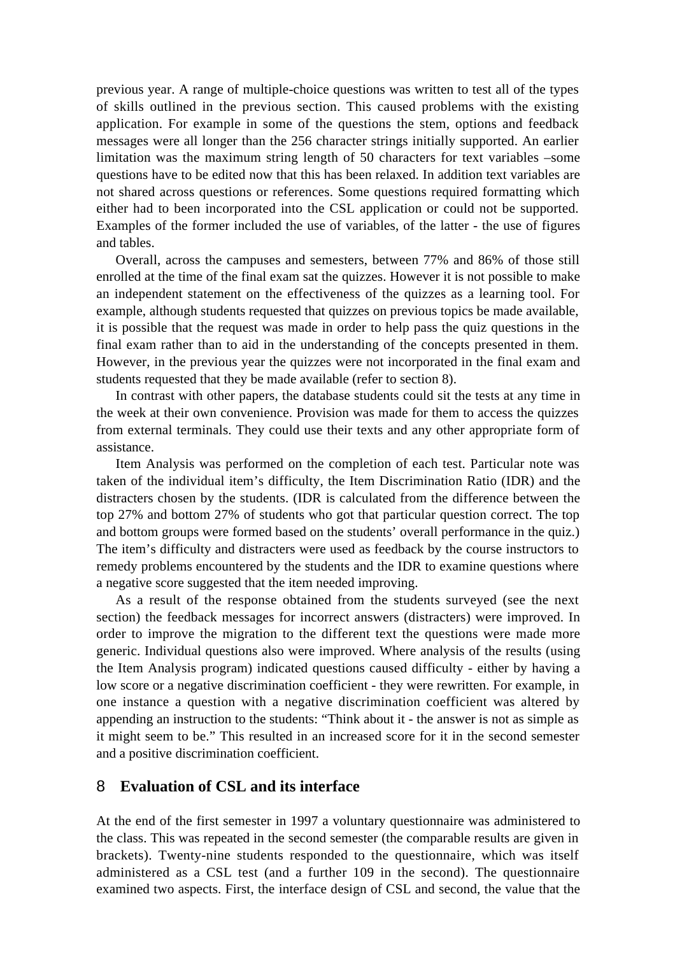previous year. A range of multiple-choice questions was written to test all of the types of skills outlined in the previous section. This caused problems with the existing application. For example in some of the questions the stem, options and feedback messages were all longer than the 256 character strings initially supported. An earlier limitation was the maximum string length of 50 characters for text variables –some questions have to be edited now that this has been relaxed. In addition text variables are not shared across questions or references. Some questions required formatting which either had to been incorporated into the CSL application or could not be supported. Examples of the former included the use of variables, of the latter - the use of figures and tables.

Overall, across the campuses and semesters, between 77% and 86% of those still enrolled at the time of the final exam sat the quizzes. However it is not possible to make an independent statement on the effectiveness of the quizzes as a learning tool. For example, although students requested that quizzes on previous topics be made available, it is possible that the request was made in order to help pass the quiz questions in the final exam rather than to aid in the understanding of the concepts presented in them. However, in the previous year the quizzes were not incorporated in the final exam and students requested that they be made available (refer to section 8).

In contrast with other papers, the database students could sit the tests at any time in the week at their own convenience. Provision was made for them to access the quizzes from external terminals. They could use their texts and any other appropriate form of assistance.

Item Analysis was performed on the completion of each test. Particular note was taken of the individual item's difficulty, the Item Discrimination Ratio (IDR) and the distracters chosen by the students. (IDR is calculated from the difference between the top 27% and bottom 27% of students who got that particular question correct. The top and bottom groups were formed based on the students' overall performance in the quiz.) The item's difficulty and distracters were used as feedback by the course instructors to remedy problems encountered by the students and the IDR to examine questions where a negative score suggested that the item needed improving.

As a result of the response obtained from the students surveyed (see the next section) the feedback messages for incorrect answers (distracters) were improved. In order to improve the migration to the different text the questions were made more generic. Individual questions also were improved. Where analysis of the results (using the Item Analysis program) indicated questions caused difficulty - either by having a low score or a negative discrimination coefficient - they were rewritten. For example, in one instance a question with a negative discrimination coefficient was altered by appending an instruction to the students: "Think about it - the answer is not as simple as it might seem to be." This resulted in an increased score for it in the second semester and a positive discrimination coefficient.

### 8 **Evaluation of CSL and its interface**

At the end of the first semester in 1997 a voluntary questionnaire was administered to the class. This was repeated in the second semester (the comparable results are given in brackets). Twenty-nine students responded to the questionnaire, which was itself administered as a CSL test (and a further 109 in the second). The questionnaire examined two aspects. First, the interface design of CSL and second, the value that the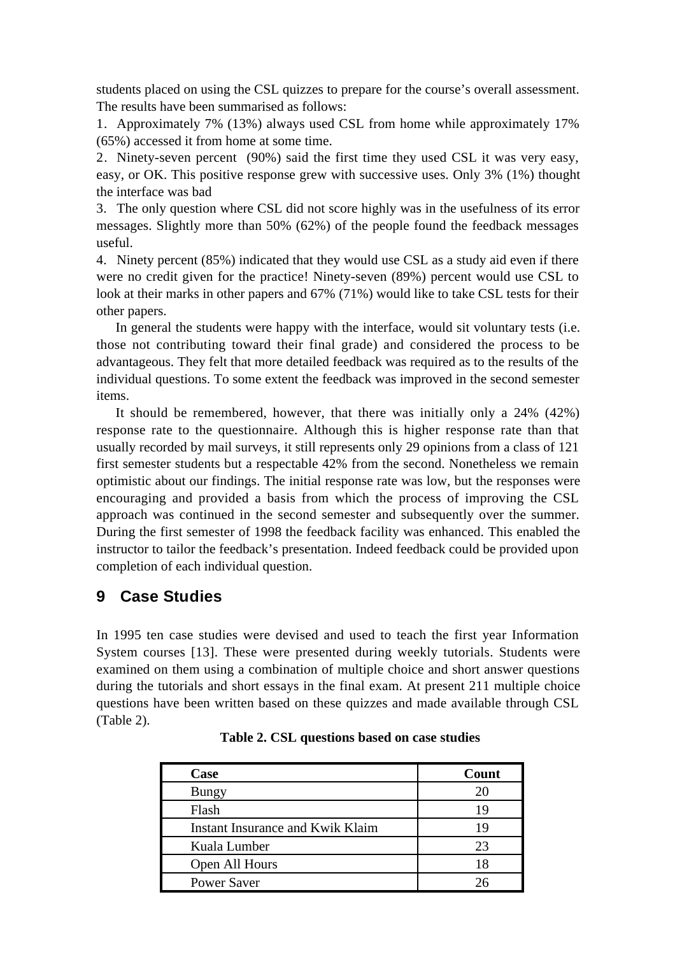students placed on using the CSL quizzes to prepare for the course's overall assessment. The results have been summarised as follows:

1. Approximately 7% (13%) always used CSL from home while approximately 17% (65%) accessed it from home at some time.

2. Ninety-seven percent (90%) said the first time they used CSL it was very easy, easy, or OK. This positive response grew with successive uses. Only 3% (1%) thought the interface was bad

3. The only question where CSL did not score highly was in the usefulness of its error messages. Slightly more than 50% (62%) of the people found the feedback messages useful.

4. Ninety percent (85%) indicated that they would use CSL as a study aid even if there were no credit given for the practice! Ninety-seven (89%) percent would use CSL to look at their marks in other papers and 67% (71%) would like to take CSL tests for their other papers.

In general the students were happy with the interface, would sit voluntary tests (i.e. those not contributing toward their final grade) and considered the process to be advantageous. They felt that more detailed feedback was required as to the results of the individual questions. To some extent the feedback was improved in the second semester items.

It should be remembered, however, that there was initially only a 24% (42%) response rate to the questionnaire. Although this is higher response rate than that usually recorded by mail surveys, it still represents only 29 opinions from a class of 121 first semester students but a respectable 42% from the second. Nonetheless we remain optimistic about our findings. The initial response rate was low, but the responses were encouraging and provided a basis from which the process of improving the CSL approach was continued in the second semester and subsequently over the summer. During the first semester of 1998 the feedback facility was enhanced. This enabled the instructor to tailor the feedback's presentation. Indeed feedback could be provided upon completion of each individual question.

# **9 Case Studies**

In 1995 ten case studies were devised and used to teach the first year Information System courses [13]. These were presented during weekly tutorials. Students were examined on them using a combination of multiple choice and short answer questions during the tutorials and short essays in the final exam. At present 211 multiple choice questions have been written based on these quizzes and made available through CSL (Table 2).

| Case                                    | Count |
|-----------------------------------------|-------|
| <b>Bungy</b>                            |       |
| Flash                                   |       |
| <b>Instant Insurance and Kwik Klaim</b> |       |
| Kuala Lumber                            | フマ    |
| Open All Hours                          |       |
| Power Saver                             |       |

**Table 2. CSL questions based on case studies**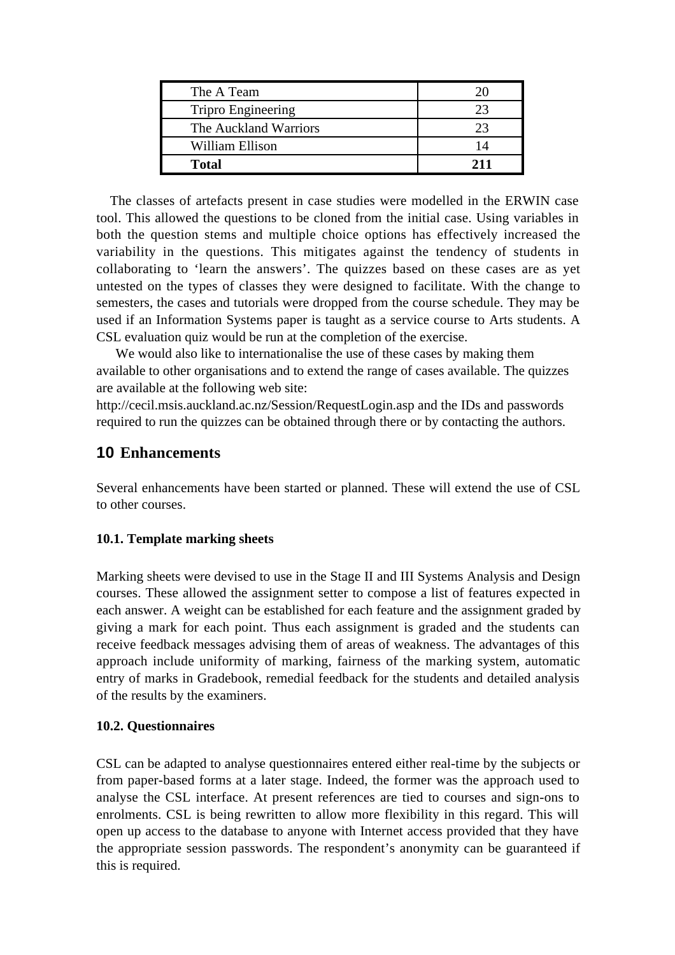| The A Team                |    |
|---------------------------|----|
| <b>Tripro Engineering</b> | 23 |
| The Auckland Warriors     | 23 |
| William Ellison           |    |
| Total                     |    |

The classes of artefacts present in case studies were modelled in the ERWIN case tool. This allowed the questions to be cloned from the initial case. Using variables in both the question stems and multiple choice options has effectively increased the variability in the questions. This mitigates against the tendency of students in collaborating to 'learn the answers'. The quizzes based on these cases are as yet untested on the types of classes they were designed to facilitate. With the change to semesters, the cases and tutorials were dropped from the course schedule. They may be used if an Information Systems paper is taught as a service course to Arts students. A CSL evaluation quiz would be run at the completion of the exercise.

We would also like to internationalise the use of these cases by making them available to other organisations and to extend the range of cases available. The quizzes are available at the following web site:

http://cecil.msis.auckland.ac.nz/Session/RequestLogin.asp and the IDs and passwords required to run the quizzes can be obtained through there or by contacting the authors.

## **10 Enhancements**

Several enhancements have been started or planned. These will extend the use of CSL to other courses.

### **10.1. Template marking sheets**

Marking sheets were devised to use in the Stage II and III Systems Analysis and Design courses. These allowed the assignment setter to compose a list of features expected in each answer. A weight can be established for each feature and the assignment graded by giving a mark for each point. Thus each assignment is graded and the students can receive feedback messages advising them of areas of weakness. The advantages of this approach include uniformity of marking, fairness of the marking system, automatic entry of marks in Gradebook, remedial feedback for the students and detailed analysis of the results by the examiners.

### **10.2. Questionnaires**

CSL can be adapted to analyse questionnaires entered either real-time by the subjects or from paper-based forms at a later stage. Indeed, the former was the approach used to analyse the CSL interface. At present references are tied to courses and sign-ons to enrolments. CSL is being rewritten to allow more flexibility in this regard. This will open up access to the database to anyone with Internet access provided that they have the appropriate session passwords. The respondent's anonymity can be guaranteed if this is required.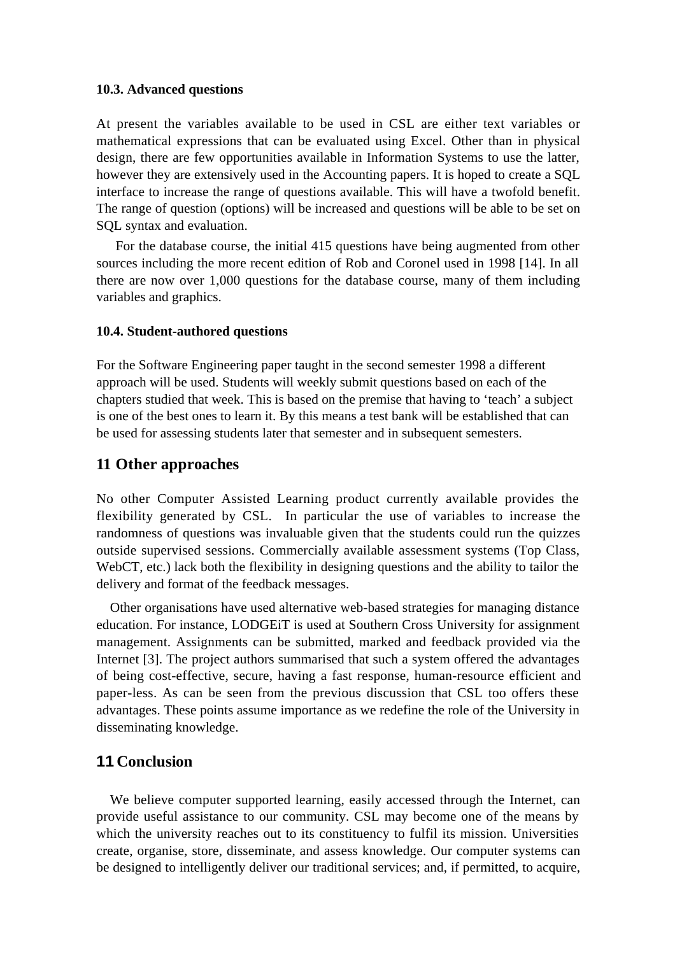#### **10.3. Advanced questions**

At present the variables available to be used in CSL are either text variables or mathematical expressions that can be evaluated using Excel. Other than in physical design, there are few opportunities available in Information Systems to use the latter, however they are extensively used in the Accounting papers. It is hoped to create a SQL interface to increase the range of questions available. This will have a twofold benefit. The range of question (options) will be increased and questions will be able to be set on SQL syntax and evaluation.

For the database course, the initial 415 questions have being augmented from other sources including the more recent edition of Rob and Coronel used in 1998 [14]. In all there are now over 1,000 questions for the database course, many of them including variables and graphics.

### **10.4. Student-authored questions**

For the Software Engineering paper taught in the second semester 1998 a different approach will be used. Students will weekly submit questions based on each of the chapters studied that week. This is based on the premise that having to 'teach' a subject is one of the best ones to learn it. By this means a test bank will be established that can be used for assessing students later that semester and in subsequent semesters.

### **11 Other approaches**

No other Computer Assisted Learning product currently available provides the flexibility generated by CSL. In particular the use of variables to increase the randomness of questions was invaluable given that the students could run the quizzes outside supervised sessions. Commercially available assessment systems (Top Class, WebCT, etc.) lack both the flexibility in designing questions and the ability to tailor the delivery and format of the feedback messages.

Other organisations have used alternative web-based strategies for managing distance education. For instance, LODGEiT is used at Southern Cross University for assignment management. Assignments can be submitted, marked and feedback provided via the Internet [3]. The project authors summarised that such a system offered the advantages of being cost-effective, secure, having a fast response, human-resource efficient and paper-less. As can be seen from the previous discussion that CSL too offers these advantages. These points assume importance as we redefine the role of the University in disseminating knowledge.

### **11 Conclusion**

We believe computer supported learning, easily accessed through the Internet, can provide useful assistance to our community. CSL may become one of the means by which the university reaches out to its constituency to fulfil its mission. Universities create, organise, store, disseminate, and assess knowledge. Our computer systems can be designed to intelligently deliver our traditional services; and, if permitted, to acquire,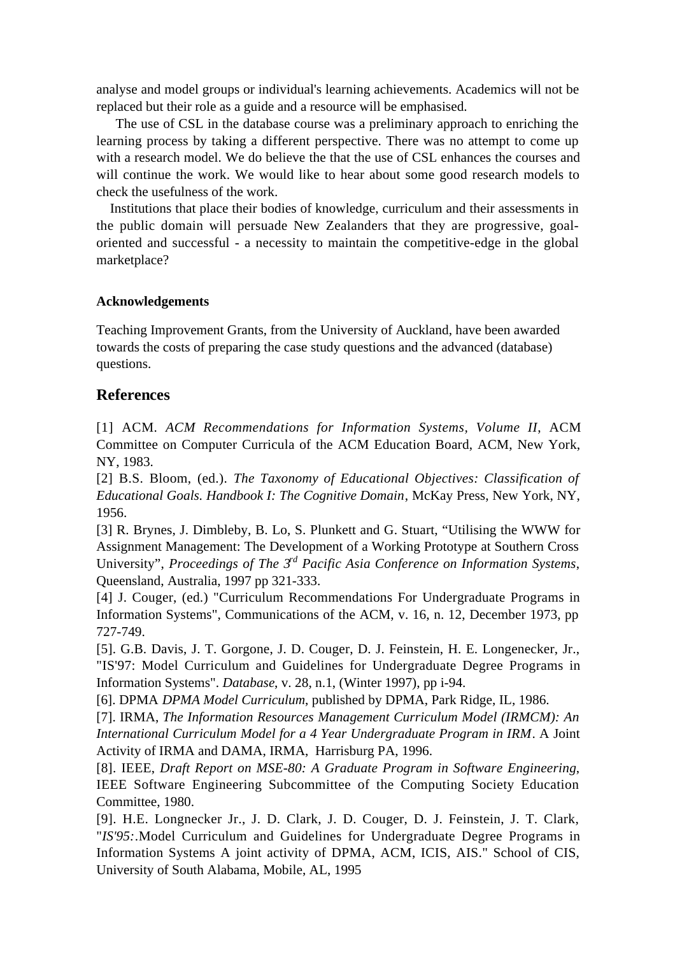analyse and model groups or individual's learning achievements. Academics will not be replaced but their role as a guide and a resource will be emphasised.

The use of CSL in the database course was a preliminary approach to enriching the learning process by taking a different perspective. There was no attempt to come up with a research model. We do believe the that the use of CSL enhances the courses and will continue the work. We would like to hear about some good research models to check the usefulness of the work.

Institutions that place their bodies of knowledge, curriculum and their assessments in the public domain will persuade New Zealanders that they are progressive, goaloriented and successful - a necessity to maintain the competitive-edge in the global marketplace?

#### **Acknowledgements**

Teaching Improvement Grants, from the University of Auckland, have been awarded towards the costs of preparing the case study questions and the advanced (database) questions.

### **References**

[1] ACM*. ACM Recommendations for Information Systems, Volume II*, ACM Committee on Computer Curricula of the ACM Education Board, ACM, New York, NY, 1983.

[2] B.S. Bloom, (ed.). *The Taxonomy of Educational Objectives: Classification of Educational Goals. Handbook I: The Cognitive Domain*, McKay Press, New York, NY, 1956.

[3] R. Brynes, J. Dimbleby, B. Lo, S. Plunkett and G. Stuart, "Utilising the WWW for Assignment Management: The Development of a Working Prototype at Southern Cross University", *Proceedings of The 3rd Pacific Asia Conference on Information Systems*, Queensland, Australia, 1997 pp 321-333.

[4] J. Couger, (ed.) "Curriculum Recommendations For Undergraduate Programs in Information Systems", Communications of the ACM, v. 16, n. 12, December 1973, pp 727-749.

[5]. G.B. Davis, J. T. Gorgone, J. D. Couger, D. J. Feinstein, H. E. Longenecker, Jr., "IS'97: Model Curriculum and Guidelines for Undergraduate Degree Programs in Information Systems". *Database*, v. 28, n.1, (Winter 1997), pp i-94.

[6]. DPMA *DPMA Model Curriculum*, published by DPMA, Park Ridge, IL, 1986.

[7]. IRMA, *The Information Resources Management Curriculum Model (IRMCM): An International Curriculum Model for a 4 Year Undergraduate Program in IRM*. A Joint Activity of IRMA and DAMA, IRMA, Harrisburg PA, 1996.

[8]. IEEE, *Draft Report on MSE-80: A Graduate Program in Software Engineering*, IEEE Software Engineering Subcommittee of the Computing Society Education Committee, 1980.

[9]. H.E. Longnecker Jr., J. D. Clark, J. D. Couger, D. J. Feinstein, J. T. Clark, "*IS'95:*.Model Curriculum and Guidelines for Undergraduate Degree Programs in Information Systems A joint activity of DPMA, ACM, ICIS, AIS." School of CIS, University of South Alabama, Mobile, AL, 1995